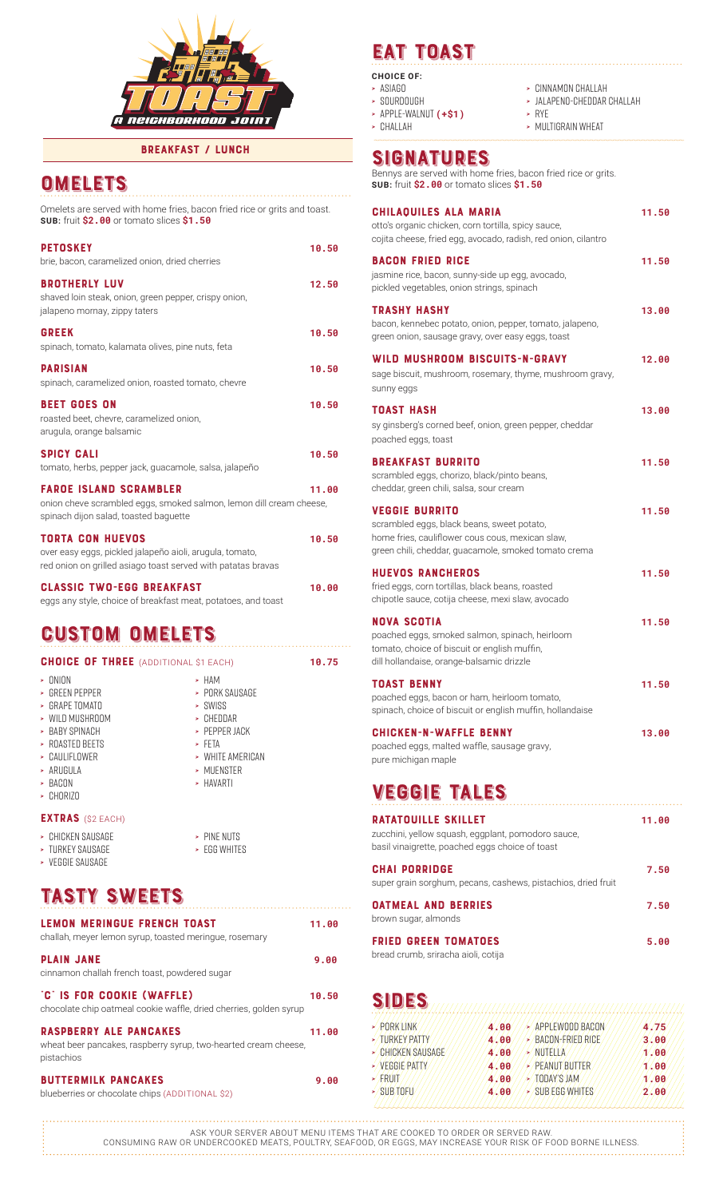

#### breakfast / lunch

## **OMELETS**

Omelets are served with home fries, bacon fried rice or grits and toast. **SUB:** fruit **\$2.00** or tomato slices **\$1.50**

| <b>PETOSKEY</b><br>brie, bacon, caramelized onion, dried cherries                                                                                   | 10.50 |
|-----------------------------------------------------------------------------------------------------------------------------------------------------|-------|
| <b>BROTHERLY LUV</b><br>shaved loin steak, onion, green pepper, crispy onion,<br>jalapeno mornay, zippy taters                                      | 12.50 |
| <b>GREEK</b><br>spinach, tomato, kalamata olives, pine nuts, feta                                                                                   | 10.50 |
| <b>PARISIAN</b><br>spinach, caramelized onion, roasted tomato, chevre                                                                               | 10.50 |
| <b>BEET GOES ON</b><br>roasted beet, chevre, caramelized onion,<br>arugula, orange balsamic                                                         | 10.50 |
| <b>SPICY CALI</b><br>tomato, herbs, pepper jack, guacamole, salsa, jalapeño                                                                         | 10.50 |
| <b>FAROE ISLAND SCRAMBLER</b><br>onion cheve scrambled eggs, smoked salmon, lemon dill cream cheese,<br>spinach dijon salad, toasted baguette       | 11.00 |
| <b>TORTA CON HUEVOS</b><br>over easy eggs, pickled jalapeño aioli, arugula, tomato,<br>red onion on grilled asiago toast served with patatas bravas | 10.50 |
| <b>CLASSIC TWO-EGG BREAKFAST</b><br>eggs any style, choice of breakfast meat, potatoes, and toast                                                   | 10.00 |
| <b>CUSTOM OMELETS</b>                                                                                                                               |       |

| <b>CHOICE OF THREE</b> (ADDITIONAL \$1 EACH)             |                            | 10.75 |
|----------------------------------------------------------|----------------------------|-------|
| - ONION                                                  | $>$ HAM                    |       |
| > GREEN PEPPER<br>> GRAPF TOMATO                         | > PORK SAUSAGE<br>> SWISS  |       |
| » WILD MUSHROOM                                          | $>$ CHEDDAR                |       |
| > BARY SPINACH                                           | > PEPPER JACK              |       |
| > ROASTED BEETS<br>$\overline{\phantom{a}}$ CALILIFIOWER | > FFTA<br>> WHITE AMERICAN |       |
| - ARUGULA                                                | > MUENSTER                 |       |
| $>$ RACON<br>$\overline{\phantom{a}}$ CHORIZO            | - HAVARTI                  |       |
| <b>EXTRAS</b> (\$2 EACH)                                 |                            |       |
| - CHICKEN SAUSAGE                                        | > PINF NIITS               |       |

**›** egg whites

# tasty Sweets

**›** turkey sausage **›** veggie sausage

| <b>LEMON MERINGUE FRENCH TOAST</b><br>challah, meyer lemon syrup, toasted meringue, rosemary                   | 11.00 |
|----------------------------------------------------------------------------------------------------------------|-------|
| <b>PLAIN JANE</b><br>cinnamon challah french toast, powdered sugar                                             | 9.00  |
| "C" IS FOR COOKIE (WAFFLE)<br>chocolate chip oatmeal cookie waffle, dried cherries, golden syrup               | 10.50 |
| <b>RASPBERRY ALE PANCAKES</b><br>wheat beer pancakes, raspberry syrup, two-hearted cream cheese,<br>pistachios | 11.00 |
| <b>BUTTERMILK PANCAKES</b><br>blueberries or chocolate chips (ADDITIONAL \$2)                                  | 9.00  |

# eat Toast

### **CHOICE OF:**

- **›** asiago
- **›** sourdough **›** challah
- **›** apple-walnut **(+\$1)**
	-
- **›** rye **›** multigrain wheat

**›** cinnamon challah **›** jalapeno-cheddar challah

## Signatures

Bennys are served with home fries, bacon fried rice or grits. **SUB:** fruit **\$2.00** or tomato slices **\$1.50**

| <b>CHILAOUILES ALA MARIA</b><br>otto's organic chicken, corn tortilla, spicy sauce,<br>cojita cheese, fried egg, avocado, radish, red onion, cilantro                           | 11.50 |
|---------------------------------------------------------------------------------------------------------------------------------------------------------------------------------|-------|
| <b>BACON FRIED RICE</b><br>jasmine rice, bacon, sunny-side up egg, avocado,<br>pickled vegetables, onion strings, spinach                                                       | 11.50 |
| <b>TRASHY HASHY</b><br>bacon, kennebec potato, onion, pepper, tomato, jalapeno,<br>green onion, sausage gravy, over easy eggs, toast                                            | 13.00 |
| WILD MUSHROOM BISCUITS-N-GRAVY<br>sage biscuit, mushroom, rosemary, thyme, mushroom gravy,<br>sunny eggs                                                                        | 12.00 |
| <b>TOAST HASH</b><br>sy ginsberg's corned beef, onion, green pepper, cheddar<br>poached eggs, toast                                                                             | 13.00 |
| <b>BREAKFAST BURRITO</b><br>scrambled eggs, chorizo, black/pinto beans,<br>cheddar, green chili, salsa, sour cream                                                              | 11.50 |
| <b>VEGGIE BURRITO</b><br>scrambled eggs, black beans, sweet potato,<br>home fries, cauliflower cous cous, mexican slaw,<br>green chili, cheddar, guacamole, smoked tomato crema | 11.50 |
| <b>HUEVOS RANCHEROS</b><br>fried eggs, corn tortillas, black beans, roasted<br>chipotle sauce, cotija cheese, mexi slaw, avocado                                                | 11.50 |
| <b>NOVA SCOTIA</b><br>poached eggs, smoked salmon, spinach, heirloom<br>tomato, choice of biscuit or english muffin,<br>dill hollandaise, orange-balsamic drizzle               | 11.50 |
| <b>TOAST BENNY</b><br>poached eggs, bacon or ham, heirloom tomato,<br>spinach, choice of biscuit or english muffin, hollandaise                                                 | 11.50 |
| <b>CHICKEN-N-WAFFLE BENNY</b>                                                                                                                                                   | 13.00 |

poached eggs, malted waffle, sausage gravy, pure michigan maple

# veggie Tales

| <b>RATATOUILLE SKILLET</b><br>zucchini, yellow squash, eggplant, pomodoro sauce,<br>basil vinaigrette, poached eggs choice of toast | 11.00 |
|-------------------------------------------------------------------------------------------------------------------------------------|-------|
| <b>CHAI PORRIDGE</b><br>super grain sorghum, pecans, cashews, pistachios, dried fruit                                               | 7.50  |
| <b>OATMEAL AND BERRIES</b><br>brown sugar, almonds                                                                                  | 7.50  |
| <b>FRIED GREEN TOMATOES</b><br>bread crumb, sriracha aioli, cotija                                                                  | 5.00  |

| 4.00 | APPLEWOOD BACON           | 4.75  |
|------|---------------------------|-------|
| 4.00 | $\angle$ BACON-FRIED RICE | 3.00  |
| 4.00 | <i>-</i> NUTELLA          | 1/00  |
| 4.00 | > PEANUT BUTTER           | 1.00  |
| 4.00 | - TODAY'S JAM             | 1'.00 |
| 4.00 | > / SUB EGG WHITES        | 2.00  |
|      |                           |       |

ASK YOUR SERVER ABOUT MENU ITEMS THAT ARE COOKED TO ORDER OR SERVED RAW. CONSUMING RAW OR UNDERCOOKED MEATS, POULTRY, SEAFOOD, OR EGGS, MAY INCREASE YOUR RISK OF FOOD BORNE ILLNESS.